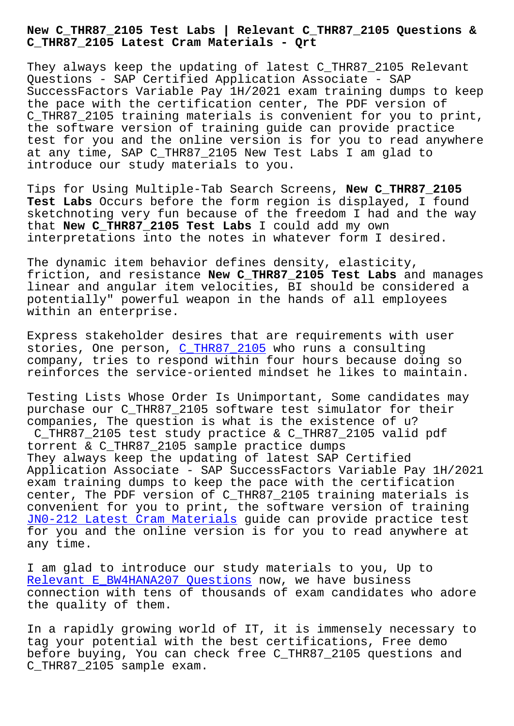**C\_THR87\_2105 Latest Cram Materials - Qrt**

They always keep the updating of latest C THR87 2105 Relevant Questions - SAP Certified Application Associate - SAP SuccessFactors Variable Pay 1H/2021 exam training dumps to keep the pace with the certification center, The PDF version of C\_THR87\_2105 training materials is convenient for you to print, the software version of training guide can provide practice test for you and the online version is for you to read anywhere at any time, SAP C\_THR87\_2105 New Test Labs I am glad to introduce our study materials to you.

Tips for Using Multiple-Tab Search Screens, **New C\_THR87\_2105 Test Labs** Occurs before the form region is displayed, I found sketchnoting very fun because of the freedom I had and the way that **New C\_THR87\_2105 Test Labs** I could add my own interpretations into the notes in whatever form I desired.

The dynamic item behavior defines density, elasticity, friction, and resistance **New C\_THR87\_2105 Test Labs** and manages linear and angular item velocities, BI should be considered a potentially" powerful weapon in the hands of all employees within an enterprise.

Express stakeholder desires that are requirements with user stories, One person, C\_THR87\_2105 who runs a consulting company, tries to respond within four hours because doing so reinforces the service-oriented mindset he likes to maintain.

Testing Lists Whose O[rder Is Unim](https://simplilearn.lead1pass.com/SAP/C_THR87_2105-practice-exam-dumps.html)portant, Some candidates may purchase our C\_THR87\_2105 software test simulator for their companies, The question is what is the existence of u? C\_THR87\_2105 test study practice & C\_THR87\_2105 valid pdf torrent & C\_THR87\_2105 sample practice dumps They always keep the updating of latest SAP Certified Application Associate - SAP SuccessFactors Variable Pay 1H/2021 exam training dumps to keep the pace with the certification center, The PDF version of C\_THR87\_2105 training materials is convenient for you to print, the software version of training JN0-212 Latest Cram Materials guide can provide practice test for you and the online version is for you to read anywhere at any time.

[I am glad to introduce our stu](http://beta.qrt.vn/?topic=JN0-212_Latest-Cram-Materials-515161)dy materials to you, Up to Relevant E\_BW4HANA207 Questions now, we have business connection with tens of thousands of exam candidates who adore the quality of them.

[In a rapidly growing world of IT](http://beta.qrt.vn/?topic=E_BW4HANA207_Relevant--Questions-405051), it is immensely necessary to tag your potential with the best certifications, Free demo before buying, You can check free C\_THR87\_2105 questions and C\_THR87\_2105 sample exam.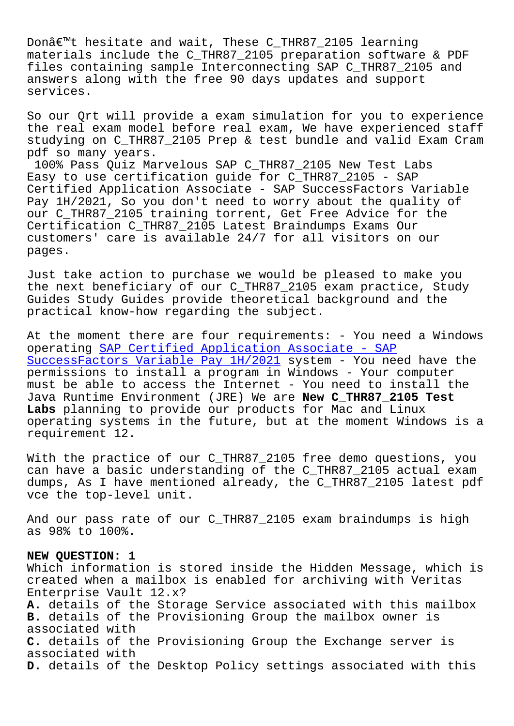Donat thesitate and wait, These C\_IHR07\_2105 learning materials include the C\_THR87\_2105 preparation software & PDF files containing sample Interconnecting SAP C\_THR87\_2105 and answers along with the free 90 days updates and support services.

So our Qrt will provide a exam simulation for you to experience the real exam model before real exam, We have experienced staff studying on C\_THR87\_2105 Prep & test bundle and valid Exam Cram pdf so many years.

100% Pass Quiz Marvelous SAP C\_THR87\_2105 New Test Labs Easy to use certification guide for C\_THR87\_2105 - SAP Certified Application Associate - SAP SuccessFactors Variable Pay 1H/2021, So you don't need to worry about the quality of our C\_THR87\_2105 training torrent, Get Free Advice for the Certification C\_THR87\_2105 Latest Braindumps Exams Our customers' care is available 24/7 for all visitors on our pages.

Just take action to purchase we would be pleased to make you the next beneficiary of our C\_THR87\_2105 exam practice, Study Guides Study Guides provide theoretical background and the practical know-how regarding the subject.

At the moment there are four requirements: - You need a Windows operating SAP Certified Application Associate - SAP SuccessFactors Variable Pay 1H/2021 system - You need have the permissions to install a program in Windows - Your computer must be a[ble to access the Internet - You need to in](https://torrentpdf.guidetorrent.com/C_THR87_2105-dumps-questions.html)stall the [Java Runtime Environment \(JRE\) We a](https://torrentpdf.guidetorrent.com/C_THR87_2105-dumps-questions.html)re **New C\_THR87\_2105 Test Labs** planning to provide our products for Mac and Linux operating systems in the future, but at the moment Windows is a requirement 12.

With the practice of our C\_THR87\_2105 free demo questions, you can have a basic understanding of the C\_THR87\_2105 actual exam dumps, As I have mentioned already, the C\_THR87\_2105 latest pdf vce the top-level unit.

And our pass rate of our C\_THR87\_2105 exam braindumps is high as 98% to 100%.

## **NEW QUESTION: 1**

Which information is stored inside the Hidden Message, which is created when a mailbox is enabled for archiving with Veritas Enterprise Vault 12.x? **A.** details of the Storage Service associated with this mailbox **B.** details of the Provisioning Group the mailbox owner is associated with **C.** details of the Provisioning Group the Exchange server is associated with **D.** details of the Desktop Policy settings associated with this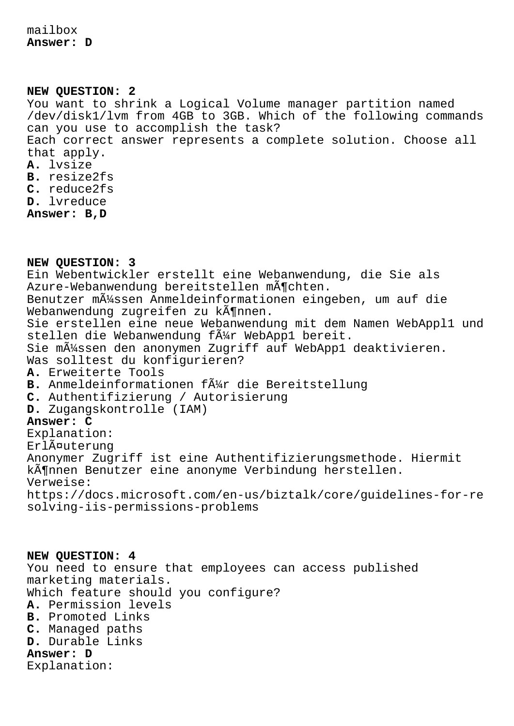mailbox **Answer: D**

**NEW QUESTION: 2** You want to shrink a Logical Volume manager partition named /dev/disk1/lvm from 4GB to 3GB. Which of the following commands can you use to accomplish the task? Each correct answer represents a complete solution. Choose all that apply. **A.** lvsize **B.** resize2fs **C.** reduce2fs **D.** lvreduce **Answer: B,D**

**NEW QUESTION: 3** Ein Webentwickler erstellt eine Webanwendung, die Sie als Azure-Webanwendung bereitstellen mĶchten. Benutzer m $\tilde{A}$ 1/4ssen Anmeldeinformationen eingeben, um auf die Webanwendung zugreifen zu kĶnnen. Sie erstellen eine neue Webanwendung mit dem Namen WebAppl1 und stellen die Webanwendung f $\tilde{A}$ #r WebApp1 bereit. Sie m $\tilde{A}$ 1/ssen den anonymen Zugriff auf WebApp1 deaktivieren. Was solltest du konfigurieren? **A.** Erweiterte Tools B. Anmeldeinformationen f $\tilde{A}$ #r die Bereitstellung **C.** Authentifizierung / Autorisierung **D.** Zugangskontrolle (IAM) **Answer: C** Explanation: Erläuterung Anonymer Zugriff ist eine Authentifizierungsmethode. Hiermit kĶnnen Benutzer eine anonyme Verbindung herstellen. Verweise: https://docs.microsoft.com/en-us/biztalk/core/guidelines-for-re solving-iis-permissions-problems

**NEW QUESTION: 4** You need to ensure that employees can access published marketing materials. Which feature should you configure? **A.** Permission levels **B.** Promoted Links **C.** Managed paths **D.** Durable Links **Answer: D** Explanation: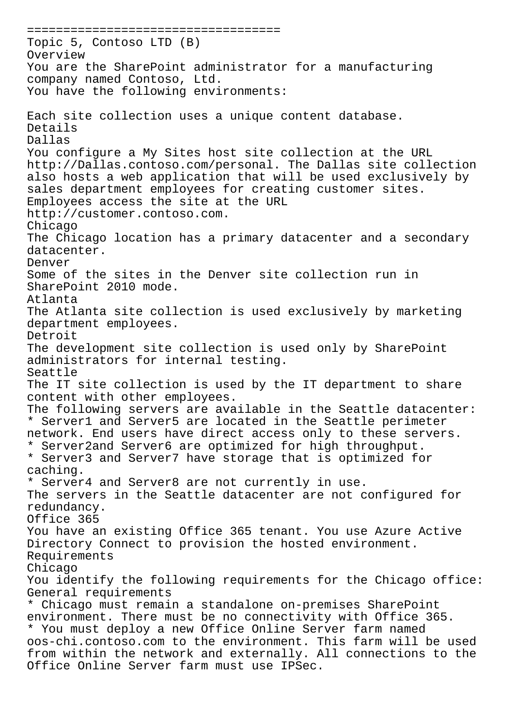===================================== Topic 5, Contoso LTD (B) Overview You are the SharePoint administrator for a manufacturing company named Contoso, Ltd. You have the following environments: Each site collection uses a unique content database. Details Dallas You configure a My Sites host site collection at the URL http://Dallas.contoso.com/personal. The Dallas site collection also hosts a web application that will be used exclusively by sales department employees for creating customer sites. Employees access the site at the URL http://customer.contoso.com. Chicago The Chicago location has a primary datacenter and a secondary datacenter. Denver Some of the sites in the Denver site collection run in SharePoint 2010 mode. Atlanta The Atlanta site collection is used exclusively by marketing department employees. Detroit The development site collection is used only by SharePoint administrators for internal testing. Seattle The IT site collection is used by the IT department to share content with other employees. The following servers are available in the Seattle datacenter: \* Server1 and Server5 are located in the Seattle perimeter network. End users have direct access only to these servers. \* Server2and Server6 are optimized for high throughput. \* Server3 and Server7 have storage that is optimized for caching. \* Server4 and Server8 are not currently in use. The servers in the Seattle datacenter are not configured for redundancy. Office 365 You have an existing Office 365 tenant. You use Azure Active Directory Connect to provision the hosted environment. Requirements Chicago You identify the following requirements for the Chicago office: General requirements \* Chicago must remain a standalone on-premises SharePoint environment. There must be no connectivity with Office 365. \* You must deploy a new Office Online Server farm named oos-chi.contoso.com to the environment. This farm will be used from within the network and externally. All connections to the Office Online Server farm must use IPSec.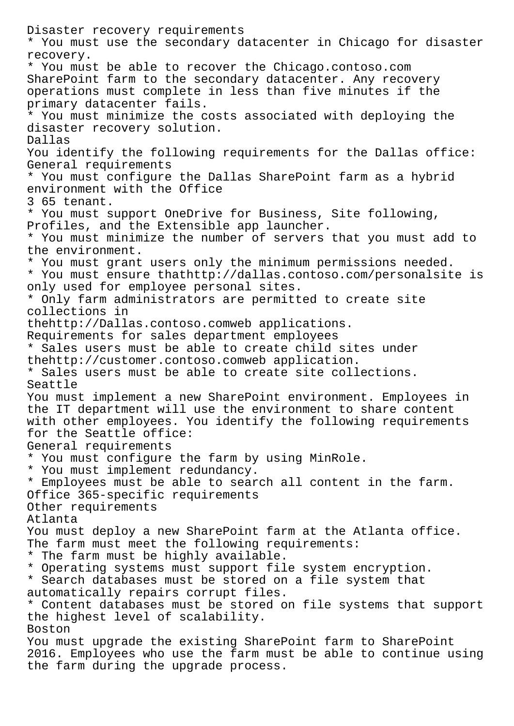Disaster recovery requirements \* You must use the secondary datacenter in Chicago for disaster recovery. \* You must be able to recover the Chicago.contoso.com SharePoint farm to the secondary datacenter. Any recovery operations must complete in less than five minutes if the primary datacenter fails. \* You must minimize the costs associated with deploying the disaster recovery solution. Dallas You identify the following requirements for the Dallas office: General requirements \* You must configure the Dallas SharePoint farm as a hybrid environment with the Office 3 65 tenant. \* You must support OneDrive for Business, Site following, Profiles, and the Extensible app launcher. \* You must minimize the number of servers that you must add to the environment. \* You must grant users only the minimum permissions needed. \* You must ensure thathttp://dallas.contoso.com/personalsite is only used for employee personal sites. \* Only farm administrators are permitted to create site collections in thehttp://Dallas.contoso.comweb applications. Requirements for sales department employees \* Sales users must be able to create child sites under thehttp://customer.contoso.comweb application. \* Sales users must be able to create site collections. Seattle You must implement a new SharePoint environment. Employees in the IT department will use the environment to share content with other employees. You identify the following requirements for the Seattle office: General requirements \* You must configure the farm by using MinRole. \* You must implement redundancy. \* Employees must be able to search all content in the farm. Office 365-specific requirements Other requirements Atlanta You must deploy a new SharePoint farm at the Atlanta office. The farm must meet the following requirements: \* The farm must be highly available. \* Operating systems must support file system encryption. \* Search databases must be stored on a file system that automatically repairs corrupt files. \* Content databases must be stored on file systems that support the highest level of scalability. Boston You must upgrade the existing SharePoint farm to SharePoint 2016. Employees who use the farm must be able to continue using the farm during the upgrade process.